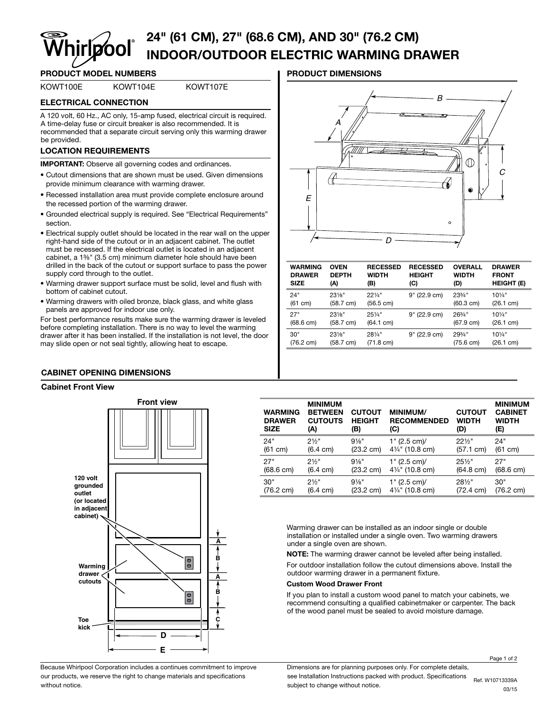# 24" (61 CM), 27" (68.6 CM), AND 30" (76.2 CM) INDOOR/OUTDOOR ELECTRIC WARMING DRAWER

# PRODUCT MODEL NUMBERS **A CONSIDER THE PRODUCT DIMENSIONS**

# KOWT100E KOWT104E KOWT107E

# ELECTRICAL CONNECTION

A 120 volt, 60 Hz., AC only, 15-amp fused, electrical circuit is required. A time-delay fuse or circuit breaker is also recommended. It is recommended that a separate circuit serving only this warming drawer be provided.

# LOCATION REQUIREMENTS

IMPORTANT: Observe all governing codes and ordinances.

- Cutout dimensions that are shown must be used. Given dimensions provide minimum clearance with warming drawer.
- Recessed installation area must provide complete enclosure around the recessed portion of the warming drawer.
- Grounded electrical supply is required. See "Electrical Requirements" section.
- Electrical supply outlet should be located in the rear wall on the upper right-hand side of the cutout or in an adjacent cabinet. The outlet must be recessed. If the electrical outlet is located in an adjacent cabinet, a 1%" (3.5 cm) minimum diameter hole should have been drilled in the back of the cutout or support surface to pass the power supply cord through to the outlet.
- Warming drawer support surface must be solid, level and flush with bottom of cabinet cutout.
- Warming drawers with oiled bronze, black glass, and white glass panels are approved for indoor use only.

For best performance results make sure the warming drawer is leveled before completing installation. There is no way to level the warming drawer after it has been installed. If the installation is not level, the door may slide open or not seal tightly, allowing heat to escape.

# CABINET OPENING DIMENSIONS

### Cabinet Front View



Because Whirlpool Corporation includes a continues commitment to improve our products, we reserve the right to change materials and specifications without notice.



| <b>WARMING</b>      | <b>OVEN</b>         | <b>RECESSED</b> | <b>RECESSED</b>     | <b>OVERALL</b>      | <b>DRAWER</b>     |
|---------------------|---------------------|-----------------|---------------------|---------------------|-------------------|
| <b>DRAWER</b>       | <b>DEPTH</b>        | <b>WIDTH</b>    | <b>HEIGHT</b>       | <b>WIDTH</b>        | <b>FRONT</b>      |
| <b>SIZE</b>         | (A)                 | (B)             | (C)                 | (D)                 | <b>HEIGHT (E)</b> |
| 24"                 | $23\%$ "            | $22\frac{1}{4}$ | $(22.9 \text{ cm})$ | $23\frac{3}{4}$ "   | $10\frac{1}{4}$   |
| (61 cm)             | $(58.7 \text{ cm})$ | (56.5 cm)       | 9"                  | (60.3 cm)           | (26.1 cm)         |
| 27"                 | $23\%$ "            | $25\frac{1}{4}$ | 9" (22.9 cm)        | 263/4"              | $10\frac{1}{4}$ " |
| $(68.6 \text{ cm})$ | $(58.7 \text{ cm})$ | (64.1 cm)       |                     | $(67.9 \text{ cm})$ | (26.1 cm)         |
| 30"                 | $23\%$ "            | 281/4"          | 9" (22.9 cm)        | 293/4"              | $10\frac{1}{4}$ " |
| $(76.2 \text{ cm})$ | (58.7 cm)           | (71.8 cm)       |                     | (75.6 cm)           | (26.1 cm)         |
|                     |                     |                 |                     |                     |                   |

| <b>WARMING</b><br><b>DRAWER</b><br><b>SIZE</b> | <b>MINIMUM</b><br><b>BETWEEN</b><br><b>CUTOUTS</b><br>(A) | <b>CUTOUT</b><br><b>HEIGHT</b><br>(B) | <b>MINIMUM/</b><br><b>RECOMMENDED</b><br>(C) | <b>CUTOUT</b><br><b>WIDTH</b><br>(D) | <b>MINIMUM</b><br><b>CABINET</b><br><b>WIDTH</b><br>(E) |
|------------------------------------------------|-----------------------------------------------------------|---------------------------------------|----------------------------------------------|--------------------------------------|---------------------------------------------------------|
| 24"                                            | $2\frac{1}{2}$                                            | $9\frac{1}{8}$ "                      | 1" (2.5 cm)                                  | $22\frac{1}{2}$                      | 24"                                                     |
| (61 cm)                                        | $(6.4 \text{ cm})$                                        | $(23.2 \text{ cm})$                   | 41/4" (10.8 cm)                              | (57.1 cm)                            | (61 cm)                                                 |
| 27"                                            | 21/2"                                                     | $9\frac{1}{8}$                        | 1" (2.5 cm)                                  | $25\%$ "                             | 27"                                                     |
| $(68.6 \text{ cm})$                            | $(6.4 \text{ cm})$                                        | $(23.2 \text{ cm})$                   | 41/4" (10.8 cm)                              | $(64.8 \text{ cm})$                  | $(68.6 \text{ cm})$                                     |
| 30"                                            | $2\frac{1}{2}$                                            | $9\frac{1}{8}$ "                      | 1" (2.5 cm)                                  | $28\frac{1}{2}$                      | 30"                                                     |
| $(76.2 \text{ cm})$                            | $(6.4 \text{ cm})$                                        | $(23.2 \text{ cm})$                   | 41/4" (10.8 cm)                              | $(72.4 \text{ cm})$                  | $(76.2 \text{ cm})$                                     |

Warming drawer can be installed as an indoor single or double installation or installed under a single oven. Two warming drawers under a single oven are shown.

NOTE: The warming drawer cannot be leveled after being installed. For outdoor installation follow the cutout dimensions above. Install the outdoor warming drawer in a permanent fixture.

### Custom Wood Drawer Front

If you plan to install a custom wood panel to match your cabinets, we recommend consulting a qualified cabinetmaker or carpenter. The back of the wood panel must be sealed to avoid moisture damage.

Dimensions are for planning purposes only. For complete details, see Installation Instructions packed with product. Specifications see installation instructions packed with product. Specifications<br>subject to change without notice.